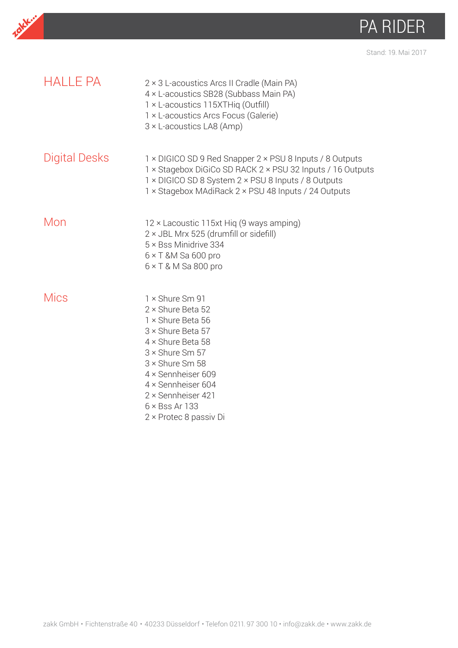

Stand: 19. Mai 2017

| <b>HALLE PA</b>      | 2 × 3 L-acoustics Arcs II Cradle (Main PA)<br>4 × L-acoustics SB28 (Subbass Main PA)<br>1 × L-acoustics 115XTHiq (Outfill)<br>1 × L-acoustics Arcs Focus (Galerie)<br>$3 \times$ L-acoustics LA8 (Amp)                                                                                     |
|----------------------|--------------------------------------------------------------------------------------------------------------------------------------------------------------------------------------------------------------------------------------------------------------------------------------------|
| <b>Digital Desks</b> | 1 × DIGICO SD 9 Red Snapper 2 × PSU 8 Inputs / 8 Outputs<br>1 × Stagebox DiGiCo SD RACK 2 × PSU 32 Inputs / 16 Outputs<br>1 × DIGICO SD 8 System 2 × PSU 8 Inputs / 8 Outputs<br>1 × Stagebox MAdiRack 2 × PSU 48 Inputs / 24 Outputs                                                      |
| Mon                  | 12 × Lacoustic 115xt Hig (9 ways amping)<br>2 × JBL Mrx 525 (drumfill or sidefill)<br>5 × Bss Minidrive 334<br>$6 \times T$ &M Sa 600 pro<br>$6 \times T$ & M Sa 800 pro                                                                                                                   |
| Mics                 | 1 × Shure Sm 91<br>2 × Shure Beta 52<br>1 × Shure Beta 56<br>3 × Shure Beta 57<br>$4 \times$ Shure Beta 58<br>$3 \times$ Shure Sm 57<br>$3 \times$ Shure Sm 58<br>4 × Sennheiser 609<br>4 × Sennheiser 604<br>2 × Sennheiser 421<br>$6 \times$ Bss Ar 133<br>$2 \times$ Protec 8 passiv Di |